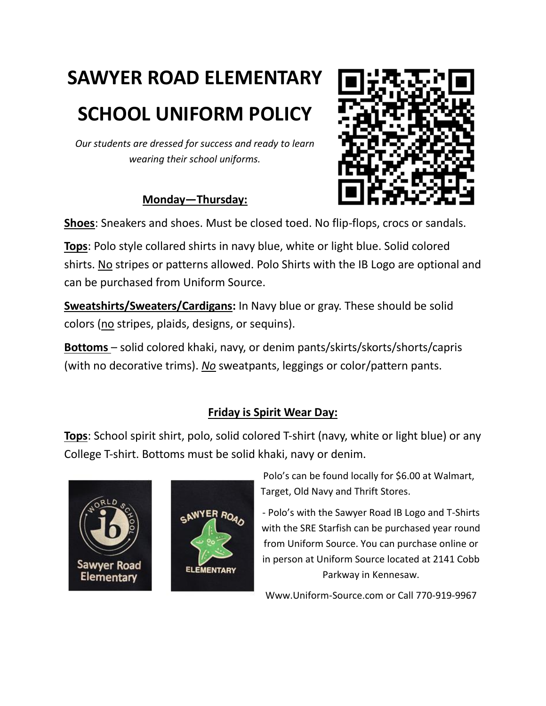# **SAWYER ROAD ELEMENTARY**

## **SCHOOL UNIFORM POLICY**

*Our students are dressed for success and ready to learn wearing their school uniforms.*

### **Monday—Thursday:**



**Shoes**: Sneakers and shoes. Must be closed toed. No flip-flops, crocs or sandals.

**Tops**: Polo style collared shirts in navy blue, white or light blue. Solid colored shirts. No stripes or patterns allowed. Polo Shirts with the IB Logo are optional and can be purchased from Uniform Source.

**Sweatshirts/Sweaters/Cardigans:** In Navy blue or gray. These should be solid colors (no stripes, plaids, designs, or sequins).

**Bottoms** – solid colored khaki, navy, or denim pants/skirts/skorts/shorts/capris (with no decorative trims). *No* sweatpants, leggings or color/pattern pants.

### **Friday is Spirit Wear Day:**

**Tops**: School spirit shirt, polo, solid colored T-shirt (navy, white or light blue) or any College T-shirt. Bottoms must be solid khaki, navy or denim.





Polo's can be found locally for \$6.00 at Walmart, Target, Old Navy and Thrift Stores.

- Polo's with the Sawyer Road IB Logo and T-Shirts with the SRE Starfish can be purchased year round from Uniform Source. You can purchase online or in person at Uniform Source located at 2141 Cobb Parkway in Kennesaw.

Www.Uniform-Source.com or Call 770-919-9967